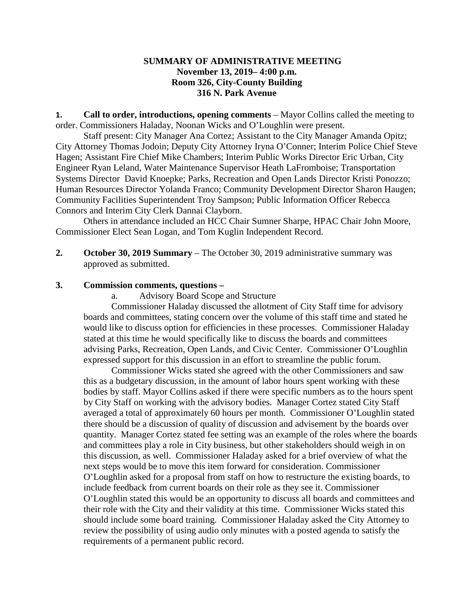## **SUMMARY OF ADMINISTRATIVE MEETING November 13, 2019– 4:00 p.m. Room 326, City-County Building 316 N. Park Avenue**

**1. Call to order, introductions, opening comments** – Mayor Collins called the meeting to order. Commissioners Haladay, Noonan Wicks and O'Loughlin were present.

Staff present: City Manager Ana Cortez; Assistant to the City Manager Amanda Opitz; City Attorney Thomas Jodoin; Deputy City Attorney Iryna O'Conner; Interim Police Chief Steve Hagen; Assistant Fire Chief Mike Chambers; Interim Public Works Director Eric Urban, City Engineer Ryan Leland, Water Maintenance Supervisor Heath LaFromboise; Transportation Systems Director David Knoepke; Parks, Recreation and Open Lands Director Kristi Ponozzo; Human Resources Director Yolanda Franco; Community Development Director Sharon Haugen; Community Facilities Superintendent Troy Sampson; Public Information Officer Rebecca Connors and Interim City Clerk Dannai Clayborn.

Others in attendance included an HCC Chair Sumner Sharpe, HPAC Chair John Moore, Commissioner Elect Sean Logan, and Tom Kuglin Independent Record.

**2. October 30, 2019 Summary** – The October 30, 2019 administrative summary was approved as submitted.

## **3. Commission comments, questions –**

a. Advisory Board Scope and Structure

Commissioner Haladay discussed the allotment of City Staff time for advisory boards and committees, stating concern over the volume of this staff time and stated he would like to discuss option for efficiencies in these processes. Commissioner Haladay stated at this time he would specifically like to discuss the boards and committees advising Parks, Recreation, Open Lands, and Civic Center. Commissioner O'Loughlin expressed support for this discussion in an effort to streamline the public forum.

Commissioner Wicks stated she agreed with the other Commissioners and saw this as a budgetary discussion, in the amount of labor hours spent working with these bodies by staff. Mayor Collins asked if there were specific numbers as to the hours spent by City Staff on working with the advisory bodies. Manager Cortez stated City Staff averaged a total of approximately 60 hours per month. Commissioner O'Loughlin stated there should be a discussion of quality of discussion and advisement by the boards over quantity. Manager Cortez stated fee setting was an example of the roles where the boards and committees play a role in City business, but other stakeholders should weigh in on this discussion, as well. Commissioner Haladay asked for a brief overview of what the next steps would be to move this item forward for consideration. Commissioner O'Loughlin asked for a proposal from staff on how to restructure the existing boards, to include feedback from current boards on their role as they see it. Commissioner O'Loughlin stated this would be an opportunity to discuss all boards and committees and their role with the City and their validity at this time. Commissioner Wicks stated this should include some board training. Commissioner Haladay asked the City Attorney to review the possibility of using audio only minutes with a posted agenda to satisfy the requirements of a permanent public record.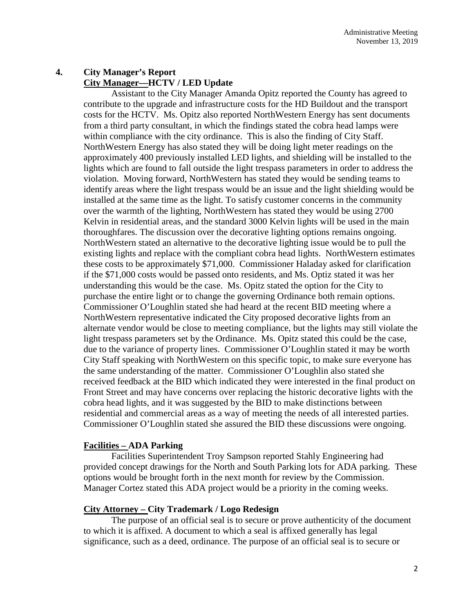# **4. City Manager's Report City Manager—HCTV / LED Update**

Assistant to the City Manager Amanda Opitz reported the County has agreed to contribute to the upgrade and infrastructure costs for the HD Buildout and the transport costs for the HCTV. Ms. Opitz also reported NorthWestern Energy has sent documents from a third party consultant, in which the findings stated the cobra head lamps were within compliance with the city ordinance. This is also the finding of City Staff. NorthWestern Energy has also stated they will be doing light meter readings on the approximately 400 previously installed LED lights, and shielding will be installed to the lights which are found to fall outside the light trespass parameters in order to address the violation. Moving forward, NorthWestern has stated they would be sending teams to identify areas where the light trespass would be an issue and the light shielding would be installed at the same time as the light. To satisfy customer concerns in the community over the warmth of the lighting, NorthWestern has stated they would be using 2700 Kelvin in residential areas, and the standard 3000 Kelvin lights will be used in the main thoroughfares. The discussion over the decorative lighting options remains ongoing. NorthWestern stated an alternative to the decorative lighting issue would be to pull the existing lights and replace with the compliant cobra head lights. NorthWestern estimates these costs to be approximately \$71,000. Commissioner Haladay asked for clarification if the \$71,000 costs would be passed onto residents, and Ms. Optiz stated it was her understanding this would be the case. Ms. Opitz stated the option for the City to purchase the entire light or to change the governing Ordinance both remain options. Commissioner O'Loughlin stated she had heard at the recent BID meeting where a NorthWestern representative indicated the City proposed decorative lights from an alternate vendor would be close to meeting compliance, but the lights may still violate the light trespass parameters set by the Ordinance. Ms. Opitz stated this could be the case, due to the variance of property lines. Commissioner O'Loughlin stated it may be worth City Staff speaking with NorthWestern on this specific topic, to make sure everyone has the same understanding of the matter. Commissioner O'Loughlin also stated she received feedback at the BID which indicated they were interested in the final product on Front Street and may have concerns over replacing the historic decorative lights with the cobra head lights, and it was suggested by the BID to make distinctions between residential and commercial areas as a way of meeting the needs of all interested parties. Commissioner O'Loughlin stated she assured the BID these discussions were ongoing.

## **Facilities – ADA Parking**

Facilities Superintendent Troy Sampson reported Stahly Engineering had provided concept drawings for the North and South Parking lots for ADA parking. These options would be brought forth in the next month for review by the Commission. Manager Cortez stated this ADA project would be a priority in the coming weeks.

#### **City Attorney – City Trademark / Logo Redesign**

The purpose of an official seal is to secure or prove authenticity of the document to which it is affixed. A document to which a seal is affixed generally has legal significance, such as a deed, ordinance. The purpose of an official seal is to secure or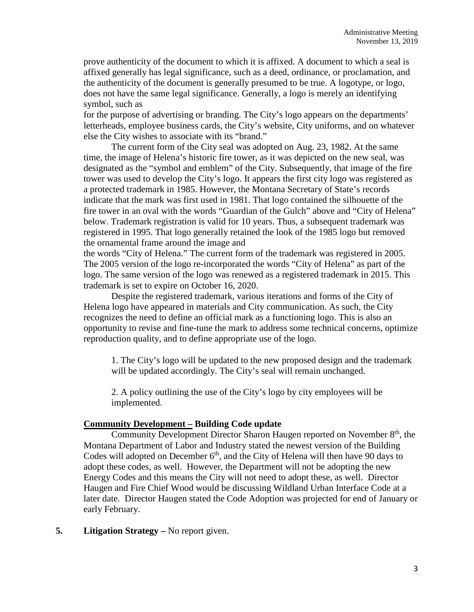prove authenticity of the document to which it is affixed. A document to which a seal is affixed generally has legal significance, such as a deed, ordinance, or proclamation, and the authenticity of the document is generally presumed to be true. A logotype, or logo, does not have the same legal significance. Generally, a logo is merely an identifying symbol, such as

for the purpose of advertising or branding. The City's logo appears on the departments' letterheads, employee business cards, the City's website, City uniforms, and on whatever else the City wishes to associate with its "brand."

The current form of the City seal was adopted on Aug. 23, 1982. At the same time, the image of Helena's historic fire tower, as it was depicted on the new seal, was designated as the "symbol and emblem" of the City. Subsequently, that image of the fire tower was used to develop the City's logo. It appears the first city logo was registered as a protected trademark in 1985. However, the Montana Secretary of State's records indicate that the mark was first used in 1981. That logo contained the silhouette of the fire tower in an oval with the words "Guardian of the Gulch" above and "City of Helena" below. Trademark registration is valid for 10 years. Thus, a subsequent trademark was registered in 1995. That logo generally retained the look of the 1985 logo but removed the ornamental frame around the image and

the words "City of Helena." The current form of the trademark was registered in 2005. The 2005 version of the logo re-incorporated the words "City of Helena" as part of the logo. The same version of the logo was renewed as a registered trademark in 2015. This trademark is set to expire on October 16, 2020.

Despite the registered trademark, various iterations and forms of the City of Helena logo have appeared in materials and City communication. As such, the City recognizes the need to define an official mark as a functioning logo. This is also an opportunity to revise and fine-tune the mark to address some technical concerns, optimize reproduction quality, and to define appropriate use of the logo.

1. The City's logo will be updated to the new proposed design and the trademark will be updated accordingly. The City's seal will remain unchanged.

2. A policy outlining the use of the City's logo by city employees will be implemented.

## **Community Development – Building Code update**

Community Development Director Sharon Haugen reported on November 8<sup>th</sup>, the Montana Department of Labor and Industry stated the newest version of the Building Codes will adopted on December  $6<sup>th</sup>$ , and the City of Helena will then have 90 days to adopt these codes, as well. However, the Department will not be adopting the new Energy Codes and this means the City will not need to adopt these, as well. Director Haugen and Fire Chief Wood would be discussing Wildland Urban Interface Code at a later date. Director Haugen stated the Code Adoption was projected for end of January or early February.

#### **5. Litigation Strategy –** No report given.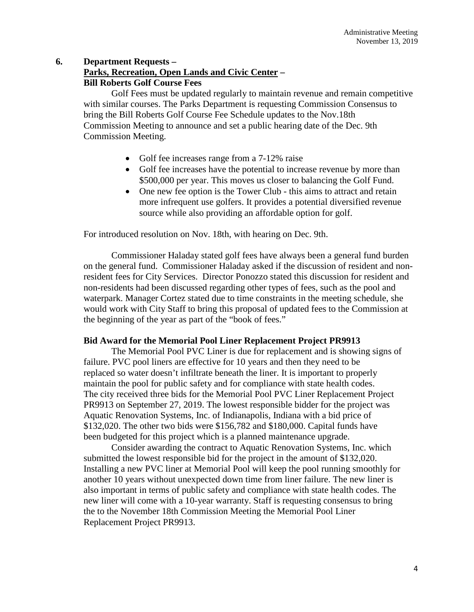## **6. Department Requests – Parks, Recreation, Open Lands and Civic Center – Bill Roberts Golf Course Fees**

Golf Fees must be updated regularly to maintain revenue and remain competitive with similar courses. The Parks Department is requesting Commission Consensus to bring the Bill Roberts Golf Course Fee Schedule updates to the Nov.18th Commission Meeting to announce and set a public hearing date of the Dec. 9th Commission Meeting.

- Golf fee increases range from a 7-12% raise
- Golf fee increases have the potential to increase revenue by more than \$500,000 per year. This moves us closer to balancing the Golf Fund.
- One new fee option is the Tower Club this aims to attract and retain more infrequent use golfers. It provides a potential diversified revenue source while also providing an affordable option for golf.

For introduced resolution on Nov. 18th, with hearing on Dec. 9th.

Commissioner Haladay stated golf fees have always been a general fund burden on the general fund. Commissioner Haladay asked if the discussion of resident and nonresident fees for City Services. Director Ponozzo stated this discussion for resident and non-residents had been discussed regarding other types of fees, such as the pool and waterpark. Manager Cortez stated due to time constraints in the meeting schedule, she would work with City Staff to bring this proposal of updated fees to the Commission at the beginning of the year as part of the "book of fees."

## **Bid Award for the Memorial Pool Liner Replacement Project PR9913**

The Memorial Pool PVC Liner is due for replacement and is showing signs of failure. PVC pool liners are effective for 10 years and then they need to be replaced so water doesn't infiltrate beneath the liner. It is important to properly maintain the pool for public safety and for compliance with state health codes. The city received three bids for the Memorial Pool PVC Liner Replacement Project PR9913 on September 27, 2019. The lowest responsible bidder for the project was Aquatic Renovation Systems, Inc. of Indianapolis, Indiana with a bid price of \$132,020. The other two bids were \$156,782 and \$180,000. Capital funds have been budgeted for this project which is a planned maintenance upgrade.

Consider awarding the contract to Aquatic Renovation Systems, Inc. which submitted the lowest responsible bid for the project in the amount of \$132,020. Installing a new PVC liner at Memorial Pool will keep the pool running smoothly for another 10 years without unexpected down time from liner failure. The new liner is also important in terms of public safety and compliance with state health codes. The new liner will come with a 10-year warranty. Staff is requesting consensus to bring the to the November 18th Commission Meeting the Memorial Pool Liner Replacement Project PR9913.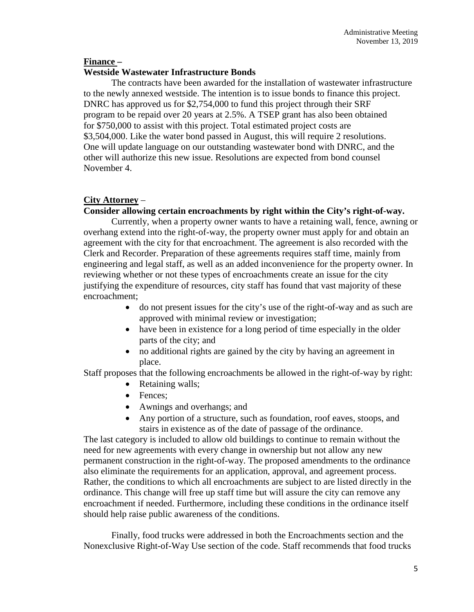## **Finance –**

## **Westside Wastewater Infrastructure Bonds**

The contracts have been awarded for the installation of wastewater infrastructure to the newly annexed westside. The intention is to issue bonds to finance this project. DNRC has approved us for \$2,754,000 to fund this project through their SRF program to be repaid over 20 years at 2.5%. A TSEP grant has also been obtained for \$750,000 to assist with this project. Total estimated project costs are \$3,504,000. Like the water bond passed in August, this will require 2 resolutions. One will update language on our outstanding wastewater bond with DNRC, and the other will authorize this new issue. Resolutions are expected from bond counsel November 4.

## **City Attorney** –

## **Consider allowing certain encroachments by right within the City's right-of-way.**

Currently, when a property owner wants to have a retaining wall, fence, awning or overhang extend into the right-of-way, the property owner must apply for and obtain an agreement with the city for that encroachment. The agreement is also recorded with the Clerk and Recorder. Preparation of these agreements requires staff time, mainly from engineering and legal staff, as well as an added inconvenience for the property owner. In reviewing whether or not these types of encroachments create an issue for the city justifying the expenditure of resources, city staff has found that vast majority of these encroachment;

- do not present issues for the city's use of the right-of-way and as such are approved with minimal review or investigation;
- have been in existence for a long period of time especially in the older parts of the city; and
- no additional rights are gained by the city by having an agreement in place.

Staff proposes that the following encroachments be allowed in the right-of-way by right:

- Retaining walls;
- Fences:
- Awnings and overhangs; and
- Any portion of a structure, such as foundation, roof eaves, stoops, and stairs in existence as of the date of passage of the ordinance.

The last category is included to allow old buildings to continue to remain without the need for new agreements with every change in ownership but not allow any new permanent construction in the right-of-way. The proposed amendments to the ordinance also eliminate the requirements for an application, approval, and agreement process. Rather, the conditions to which all encroachments are subject to are listed directly in the ordinance. This change will free up staff time but will assure the city can remove any encroachment if needed. Furthermore, including these conditions in the ordinance itself should help raise public awareness of the conditions.

Finally, food trucks were addressed in both the Encroachments section and the Nonexclusive Right-of-Way Use section of the code. Staff recommends that food trucks